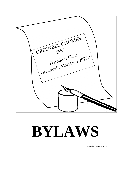



Amended May 9, 2019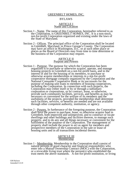# GREENBELT HOMES, INC.

# BYLAWS

### ARTICLE I Name and Location

- Section 1 Name. The name of this Corporation, hereinafter referred to as the Corporation, is GREENBELT HOMES, INC. It is a non-stock, not-for-profit Corporation organized and existing under the laws of the State of Maryland.
- Section 2 Offices. The principal office of the Corporation shall be located in Greenbelt, Maryland, in Prince George's County. The Corporation may have an office in Washington, D.C. or at such other place or places as the Board of Directors may from time to time determine or the business of the Corporation may require.

### ARTICLE II Purpose and Powers

- Section 1 Purpose. The purpose for which the Corporation has been organized is to purchase or otherwise acquire, operate, and manage housing projects in Greenbelt on a not-for-profit basis, and in the interest of and for the housing of its members, to purchase or otherwise acquire memberships or interests in a not-for-profit cooperative mortgage company organized by the Corporation and the National Consumer Cooperative Bank or its successors for the purpose of making unit loans to members of housing cooperatives, including the Corporation. In connection with such projects, the Corporation may either itself or by or through a subsidiary corporation or corporations, or by contract, lease, or otherwise, provide such community facilities, services, and benefits as may be necessary or convenient for the welfare of its members and the usefulness of the projects, provided the membership shall determine such facilities, services, or benefits are needed and are not available through other competent authority, institution, or agency.
- Section 2 Powers. In furtherance of the foregoing purpose, the Corporation shall have the power to purchase, lease, or otherwise acquire land in Greenbelt, both improved and unimproved, and to construct or locate dwellings and other buildings and facilities thereon, to manage such property, and to do any and all things necessary or convenient for the fulfillment of the purpose of the Corporation. The management of property shall include the power to act as agent for members and prospective members of the Corporation in the sale or lease of housing units and in all transactions incidental thereto.

### ARTICLE III Membership

Section 1 - Membership. Membership in the Corporation shall consist of natural persons of good character and financial responsibility who enter into a Mutual Ownership Contract (MOC) with the Corporation, or a revocable living trust where the person(s) who established the trust meets the above standards. A not-for-profit institution, or living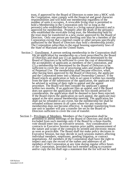trust, if approved by the Board of Directors to enter into a MOC with the Corporation, must comply with the financial and good character responsibilities and will hold one membership regardless of the number of units it occupies. A revocable living trust is permitted to hold a Membership in the Corporation only for so long as the person(s) who established the trust is a living natural person(s) and is approved for membership. Promptly after the death of the person(s) who established the revocable living trust, the Membership held by the trust must be transferred to a new owner approved by the Board of Directors. Only one person per dwelling unit may be a member of the Corporation except that a married couple or other persons specifically authorized by the Board of Directors may hold a membership jointly. The Corporation subscribes to the equal housing opportunity laws of the State of Maryland and the United States.

- Section 2 <u>Enrollment.</u> A person seeking membership in the Corporation shall file an application for membership on a form prescribed by the Board of Directors and shall pay (1) an application fee determined by the Board of Directors to be sufficient to cover the cost of determining the acceptability of applicants as members of the Corporation, and (2) a membership fee determined by the Board of Directors to be sufficient to cover the cost of processing sales and resales of Rights of Perpetual Use. The membership shall become effective, when, after having been approved by the Board of Directors, the applicant and the Corporation enter into a Mutual Ownership Contract. If the Board rejects an application or fails to act upon it within two months from the date of the submission of the application, the applicant will be advised in writing of their right to appeal and the appeal procedure. The Board will then consider the applicant's appeal within two months. If an applicant files an appeal, and if the Board does not approve the application within the two-month period for consideration, the application shall be deemed to have been rejected**.** If the Board rejects the application on such appeal, the applicant may appeal at the next annual membership meeting. The application fee shall not be refunded in any event, but the membership fee shall be refunded without interest in all cases where for any reason the membership does not become effective. A member transferring from one unit to another will pay a transfer fee set by the Board of Directors sufficient to cover the cost of transfer.
- Section 3 Privileges of Members. Members of the Corporation shall be permitted to attend meetings of the Board of Directors and shall be excluded from such meetings only if the Board by a three-fourths vote should enter into an executive session. Any consideration of contracts in Executive Session requires prior public announcement of the nature and scope of the contracts by printed and electronic means as soon as practicable. The Board shall not make policy decisions in Executive Session, but may decide in such sessions matters affecting individual members, employees, pending litigation, or contract negotiations. All members of the Corporation shall have the right to inspect and copy the record of the names and addresses of all members of the Corporation at any time during regular office hours of the Corporation, provided that such member asking to examine and/or copy the list shall sign a statement that the list will not be used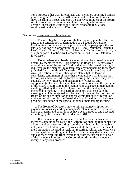for a purpose other than for contacts with members covering business concerning the Corporation. All members of the Corporation shall have the right to inspect and copy the approved minutes of the Board of Directors (excluding minutes of any meeting held in executive session) at reasonable times and under reasonable regulations established by the Board of Directors.

Section 4 - Termination of Membership.

a. The membership of a person shall terminate upon the effective date of the cancellation or termination of a Mutual Ownership Contract in accordance with the provisions of the paragraphs thereof entitled, "Option of Corporation (or "GHI") to Repurchase Perpetual Use", "Sale to Others", "Option of Member to Terminate Contract", or "Termination of Contract by Corporation (or "GHI") for Default or for Cause".

b. Except where memberships are terminated because of payment default by members of the Corporation, the Board of Directors (by a two-thirds vote of the entire Board, and after a fair formal hearing if requested by the member) may terminate any membership for reasons provided for in the Mutual Ownership Contract with the Corporation. Any notification to the member which states that the Board is considering termination of his or her membership shall include the text of this subsection. At the formal hearing, the member may have counsel, invite witnesses, and question any witnesses and complainants. The member shall have the right to appeal the decision of the Board of Directors to the membership at a special membership meeting called by the Board of Directors or at the next annual membership meeting. The Board of Directors shall schedule the meeting at which the appeal will be heard. If the member notifies the Board of his or her intention to appeal within ten days of receipt of notice of termination by the Board, the Board's action shall be stayed pending final action at the special or annual membership meeting.

c. The Board of Directors may terminate membership for nonpayment of loans secured by a member's interest in the Corporation upon such terms and conditions as have been agreed to and accepted in writing by the member, the lender, and GHI.

d. If a membership is terminated by the Corporation because of member's default or for cause, the Corporation shall be reimbursed for all costs and expenses resulting from the termination, including but not limited to all administrative costs and all third party expenses of the Corporation incurred in retaking, repairing, selling, and otherwise disposing of the dwelling unit. The Corporation may deduct its costs and expenses resulting from termination from the proceeds of a sale of the member's interest in the Corporation prior to the member's receipt of any such proceeds.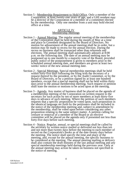Section 5 - Membership Requirement to Hold Office. Only a member of the Corporation, at least twenty-one years of age, and a GHI resident may be a director of the Corporation or a member of a committee elected by the membership. Only one member from a unit may hold elected office at a time.

# ARTICLE IV Membership Meetings

- Section 1 Annual Meeting. The regular annual meeting of the membership of the Corporation shall be held during the month of May at a time and place in Greenbelt designated by the Board of Directors. No motion for adjournment of the annual meeting shall be in order, but a motion may be made to recess for the annual election. During the recess no business shall be transacted other than referenda and elections. The annual meeting shall automatically adjourn at 8:00 p.m. on the following day. The date of an annual meeting may be postponed up to one month by a majority vote of the Board, provided public notice of the postponement is given to members prior to the scheduled annual meeting date, and members are given at least two weeks' notice of the new annual meeting date.
- Section 2 Special Meetings. Special membership meetings shall be held within forty-five days following the filing with the secretary of a request thereof by the president, or by the Audit Committee, or by the Board of Directors, or by a petition signed by at least one hundred members, except that a special meeting shall not be held within thirty days prior to the annual membership meeting. Such request or petition shall state the motion or motions to be acted upon at the meeting.
- Section 3 Agenda. Any matter of business shall be placed on the agenda of a membership meeting of the Corporation on written request to the secretary for such action by ten or more members at least thirty-five days in advance of such meeting. Where the petition of such members requests that a specific proposition be voted upon, such proposition in the identical language set forth by the petitioners shall be included in the notice of the membership meeting and, subject to amendment by the membership, shall be voted upon before considering any other proposition relating to the same subject matter. A petition calling for censure or removal of a member of the Board or an elective committee will be placed on the agenda only if presented not less than forty-five days before such meeting.
- Section 4 Notice. Regular, annual, or special meetings shall be called by the secretary by written notice mailed or delivered not less than ten and not more than twenty days before the meeting to each member of record on the Corporation's books as of the date twenty days before the meeting. The notice shall specify the time and place of the meeting, and, except for the annual meeting, the specific business to be considered at the meeting. The annual meeting mailing or delivery shall also contain the draft minutes of the last annual meeting and any special membership meetings held during the previous year. Only at the annual meeting may action be taken on business not specified in the notice of meeting.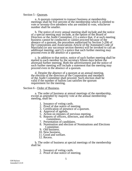# Section 5 - Quorum.

a. A quorum competent to transact business at membership meetings shall be five percent of the membership which is entitled to vote or seventy-five members who are entitled to vote, whichever number shall be smaller.

b. The notice of every annual meeting shall include and the notice of a special meeting may include, at the option of the Board of Directors or the Audit Committee, (1) a notice that, if at such meeting business cannot be conducted or cannot proceed because of the absence of a quorum, the procedure authorized by Section 5-206 of the Corporations and Associations Article of the Annotated Code of Maryland (or any successor section thereto) will be invoked to call an additional meeting; and (2) a notice that such further meeting may proceed even in the absence of a quorum.

c. In addition to that notice, notice of such further meeting shall be mailed to each member by the secretary fifteen days before the aforesaid further meeting. Both the advertisement and the notice of such further meeting will include a statement that the meeting may proceed even in the absence of a quorum.

d. Despite the absence of a quorum at an annual meeting, the election of the directors of the Corporation and members of the Audit Committee shall proceed. Such election shall be valid if the number of ballots cast satisfies the quorum requirement for the meeting.

### Section 6 - Order of Business.

a. The order of business at annual meetings of the membership, except as amended by majority vote at the annual membership meeting, shall be:

- 1. Issuance of voting cards.
- 2. Proof of due notice of meeting.
- 3. Certification of presence of a quorum.
- 4. Approval of agenda.
- 5. Action on minutes of previous meeting.
- 6. Reports of officers, directors, and elected committees.
- 7. Presentation of candidates.
- 8. Nomination and election of Nominations and Elections Committee.
- 9. Old business.
- 10. New business.
- 11. Good and welfare.
- 12. Recess.

b. The order of business at special meetings of the membership shall be:

- 1. Issuance of voting cards.
- 2. Proof of due notice of meeting.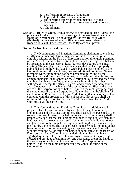- 3. Certification of presence of a quorum.
- 4. Approval of order of agenda items.
- 5. The specific business for which meeting is called.
- 6. Other subjects of petitions or requests stated in notice of meeting.
- 7. Adjournment.

Section 7 - Rules of Order. Unless otherwise provided in these Bylaws, the procedure for the conduct of all meetings of the membership and the Board of Directors shall be governed by Robert's Rules of Order (Revised). In the event of any conflict between these Bylaws and Robert's Rules of Order(Revised), these Bylaws shall prevail.

### Section 8 - Nominations and Elections.

a. The Nominations and Elections Committee shall nominate at least a sufficient number of eligible members of the Corporation for all eligible positions on the Board of Directors and for all eligible positions on the Audit Committee for election at the annual meeting. This list shall be presented to the secretary at least fourteen days before the annual meeting. The secretary shall immediately see that the list is properly published and publicly displayed in Greenbelt, so that members of the Corporation may, if they choose, propose additional nominees. Names of members whose nomination has been presented in writing by the Nominations and Elections Committee, or by petition signed by any ten or more members, shall appear on the election ballot, provided each said member shall have signified to the secretary in writing his or her willingness to accept the office if elected and provided the nomination and acceptance are in the hands of the secretary or are filed at the local office of the Corporation at or before 5 p.m. on the ninth day preceding the annual meeting of the Corporation. No member shall be eligible for election to the Board of Directors or Audit Committee unless he/she has complied with the provisions of this subsection. No person shall be nominated for election to the Board and for election to the Audit Committee at the same time.

b. The Nominations and Elections Committee, in addition, shall prepare a list of those nominated by members for election to the Nominations and Elections Committee. The list shall be presented to the secretary at least fourteen days before the election. The secretary shall immediately see that the list is properly published and publicly displayed in Greenbelt. In the event that a sufficient number of candidates are not available prior to the annual meeting, nomination(s) may be made from the floor by a member. The name of each member whose nomination has been presented prior to the meeting shall appear on an election ballot separate from the ballot listing the names of candidates for the Board of Directors and Audit Committee provided said member shall have signified to the secretary his or her willingness to accept the office if elected and provided the nomination and acceptance are in the hands of the secretary or are filed at the local office of the Corporation at or before 5 p.m. on the ninth day preceding the annual meeting of the Corporation.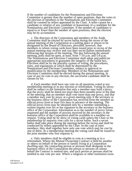If the number of candidates for the Nominations and Elections Committee is greater than the number of open positions, then the votes in the election of members to the Nominations and Elections Committee shall be counted by tellers appointed by the Chair. A teller cannot be a candidate or relative of any candidate or housemate of a candidate for the Nominations and Elections Committee. If the number of candidates is equal to or fewer than the number of open positions, then the election may be by acclamation.

c. The directors of the Corporation and members of the Audit Committee shall be elected by secret ballot during the recess of the annual meeting of the Corporation at a polling place or places to be designated by the Board of Directors, provided, however, that members to whom voting cards have been issued prior to recess of the annual meeting may receive and cast their secret ballots immediately following that session of the meeting. The day following the annual meeting, polls shall be open, at least, from 7-10 a.m. and 5-8 p.m. The Nominations and Elections Committee shall adopt and publicize appropriate procedures to guarantee the integrity of the ballot box. Elections shall be by the plurality system of voting, the procedures, rules, and regulations of which shall be determined by the Nominations and Elections Committee, subject to approval or modification by the membership. Members of the Nominations and Elections Committee shall be elected during the annual meeting. In case of any tie vote in any election, the successful candidate shall be chosen by lot.

d. Each member shall have one vote on all questions voted at any membership meeting or in any election or referendum. Voting by proxy shall be subject to the limitation that only a member may hold a proxy, that the proxy shall be dated not more than three months prior to the date of the meeting, that no member shall vote more than one proxy, and that a member may vote by proxy at a given meeting only if the secretary or the business office of the Corporation has received from the member an official proxy form at least five days in advance of the meeting. The official proxy form may be obtained only by a member submitting a written request over his or her signature to the secretary or the business office of the Corporation. Information as to the number of proxy forms requested and the number of proxies received by the secretary or the business office of the Corporation shall be available to a member on request. Voting shall be by show of voting cards unless the Chair or the membership by majority vote calls for a secret ballot. Such a secret ballot shall take place during the meeting before the recess and shall be conducted by tellers appointed by the Chair. In the case of joint members, they shall together have only one vote which may be cast by one of them. At a membership meeting the voting card shall be issued to the joint member who first requests it.

e. Only members shall be eligible to vote at a meeting or in a referendum. Where the Mutual Ownership Contract is held by another or others on behalf of the person or family living in a Corporation dwelling unit, the contracting person or persons shall designate in the business office of the Corporation the person or persons on whose behalf the Contract is entered into, and such person or persons shall be entitled to one vote per unit. Where a religious or other institution owns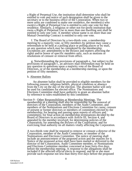a Right of Perpetual Use, the institution shall determine who shall be entitled to vote and notice of such designation shall be given to the secretary or to the business office of the Corporation. When two or more units are combined to make one residence, the member(s) who own(s) a Right of Perpetual Use is entitled to only one vote for that residence. Similarly, a religious or other not-for-profit institution that owns a Right of Perpetual Use in more than one dwelling unit shall be entitled to only one vote. A member whose name is on more than one Mutual Ownership Contract is entitled to only one vote.

f. The Board of Directors by a two-thirds vote, a membership meeting by a majority vote, or fifty members by petition may cause a referendum to be held at a polling place or polling places or by mail, on any question which may be considered by the membership. Exceptions are: amendments to the Bylaws and matters affecting the rights and/or honor of specific members only, such as motions or resolutions of censure or removal from office.

g*.* Notwithstanding the provisions of paragraph e., but subject to the provisions of paragraph f., an advisory mail referendum may be held on any question or questions upon a majority vote of the Board of Directors, or of the membership at a membership meeting, or upon the petition of fifty members.

### h. Absentee Ballots

An absentee ballot shall be provided to eligible members for the following reasons: religious beliefs, physical condition or absence from the City on the day of the election. The absentee ballot will only be used for candidates for elected office. The Nominations and Elections Committee shall have authority to grant an absentee ballot by reference to rules established by this committee.

Section 9 - Other Responsibilities at Membership Meetings. The membership at a meeting shall also be responsible for the removal of directors of the Corporation, members of the Audit Committee, and members of the Nominations and Elections Committee for cause; censure of present or former directors or members of committees elected by the membership; for hearing and passing upon reports of officers and committees; for final action on membership terminations decided by the Board of Directors in accordance with Article III, Section 4, and appealed by the member involved; for determining policies of the Corporation; for amending the Bylaws of the Corporation; and for exercising final authority on all matters vitally affecting the Corporation.

A two-thirds vote shall be required to remove or censure a director of the Corporation, member of the Audit Committee, or member of the Nominations and Elections Committee. The notice of meeting shall include an announcement of the proposed action and the reasons for it. Notice of the proposed action shall have been mailed or delivered to the director of the Corporation, Audit Committee member, or Nominations and Elections Committee member concerned at least forty-five days before the membership meeting. A response to the allegations shall be included if the affected official elects to respond, and he or she must provide such response not less than thirty-five days before the proposed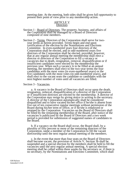meeting date. At the meeting, both sides shall be given full opportunity to present their point of view prior to any membership action.

### ARTICLE V **Directors**

- Section 1 Board of Directors. The property, business, and affairs of the Corporation shall be managed by a Board of Directors composed of nine members.
- Section 2 Terms. Directors of the Corporation shall serve for twoyear terms as herein provided. Terms begin and end upon certification of the election by the Nominations and Elections Committee. In even-numbered years four directors of the Corporation shall be elected, and in odd-numbered years five directors of the Corporation shall be elected, provided, however, that at any regular annual meeting the membership shall elect a director or directors of the Corporation to fill a vacancy or vacancies due to death, resignation, removal, disqualification or if insufficient candidates were elected by the membership the previous year. When such a vacancy is to be filled at an annual meeting, the members shall elect to the two-year terms the four candidates with the most votes (in even-numbered years) or the five candidates with the most votes (in odd-numbered years), and shall elect to the vacant seats the candidate or candidates with the next highest number of votes until all vacancies are filled.

#### Section 3 - Vacancies.

a. A vacancy in the Board of Directors shall occur upon the death, resignation, removal, disqualification of a director of the Corporation or if insufficient directors are elected by the membership. A director of the Corporation may resign by giving notice in writing to the secretary. A director of the Corporation automatically shall be considered disqualified and to have vacated his/her office if he/she is absent from five out of ten consecutive regular meetings without permission of the Board during his/her term of office, or if he/she is employed or retained by the Corporation. Vacancies on the Board of Directors shall be filled by the remaining membership of the Board, after notice of the vacancies is publicized by the Board of Directors and a two week period is provided for submission of suggested names of candidates to the Board.

b. If a vacancy on the Board shall occur, the Board shall, by a plurality of fifty percent or more of the remaining directors of the Corporation, name a member of the Corporation to fill the vacant directorship until the next regular annual meeting of the members.

c. In the event that more than four seats on the Board of Directors shall become vacant, the provision of Article V, Section 3b shall be suspended and a special election by the members shall be held to fill the vacancies until the next regular annual meeting. A special election meeting shall be called within three weeks by the secretary or, if there is no secretary, by the Nominations and Elections Committee, which shall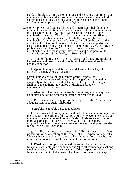conduct the election. If the Nominations and Elections Committee shall not be available to call the meeting or conduct the election, the Audit Committee shall do so. To the extent feasible, such elections shall conform to other provisions of these Bylaws.

Section 4 - Powers and Duties. The Board of Directors shall direct the affairs of the Corporation and make necessary rules and regulations not inconsistent with the law, these Bylaws, or the decisions of the membership meetings. The Board may delegate duties to officers, committees, or other personnel, but it shall be responsible to the membership for their proper performance. It shall be the duty of the directors of the Corporation to attend Board meetings, to perform such tasks as may reasonably be assigned to them by the Board, to study the problems and work of the Corporation, to report thereon to the membership, and to make every effort to assist the Corporation to achieve its purpose. Specifically, the Board shall:

a. Monitor the finances of the Corporation and operating results of its business, and take such action as is required to keep these in a healthy condition.

b. Appoint, assign the duties of, and determine the salary of a general manager, who shall assume

administrative control of the business of the Corporation. Employment or removal of the general manager must be voted by a majority of the entire Board of Directors. The general manager shall have the authority to employ or discharge all other employees of the Corporation.

c. After consultation with the Audit Committee, annually appoint an auditor or auditing agency and define the scope of the audit.

d. Provide adequate insurance of the property of the Corporation and adequate insurance against liabilities.

e. Establish equitable personnel policies.

f. Have power to borrow money and make financial commitments for the conduct of the affairs of the Corporation. However, the Board shall not be empowered to enter into new fields of business enterprise, to mortgage or sell corporate real property, or to sell subsidiary corporations without the prior approval of the membership as provided for in Article VIII, Section 8.

g. At all times keep the membership fully informed of the facts pertaining to the operation of the affairs of the Corporation and fully advise the membership of matters which have an important bearing upon the future operation of the affairs of the Corporation.

h. Distribute a comprehensive written report, including audited financial statements, and a summary budget to all members at least one week in advance of the annual meeting of the Corporation. The audited financial statements shall consist of statements of income and expenses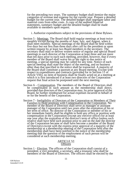for the preceding two years. The summary budget shall itemize the major categories of revenue and expense for the current year. Prepare a detailed budget for the current year. The detailed budget shall segregate labor and material costs from other costs. A copy of the audited financial statements, summary budget and the detailed budget shall be made available to members upon request.

- i. Authorize expenditures subject to the provisions of these Bylaws.
- Section 5 <u>Meetings</u>. The Board shall hold regular meetings at least twice monthly except during the months of June, July, and August, when it shall meet monthly. Special meetings of the Board shall be held within five days but not less than three days after call by the president or upon written request by at least two Board members to the secretary. The secretary shall mail or deliver written notice of regular and special Board meetings to each director of the Corporation at least three and not more than ten days prior to each such meeting, provided, however, that if every member of the Board shall waive his or her right to due notice of meeting, a special meeting may be called for any time. Notice of each special meeting shall state the object of the meeting, and no business other than that specified in the notice shall be transacted. A majority of the Board shall constitute a quorum at any Board meeting. Except with respect to expenditures and contracts (provided for in Section 11 of Article VIII*),* no item of business shall be finally acted on at a meeting at which it is first introduced if at least two directors of the Corporation request that final action be postponed until the next meeting.
- Section 6 Compensation. The members of the Board of Directors shall be compensated in such amount as the membership shall direct, provided that directors of the Corporation may, by prior approval of the Board, be further reimbursed for actual expenses incurred in behalf of or for the benefit of the Corporation.
- Section 7 Ineligibility of Directors of the Corporation or Members of Their Families to Hold positions with Compensation in the Corporation. No member of the Board of Directors shall serve as manager or assistant manager of the Corporation until two years after the expiration of his or her term of office. No director of the Corporation or member of his or her immediate family shall be eligible to hold any office or position with compensation in the Corporation (except any elective office) for at least one year after the expiration of the director's term of office (unless such relative shall have held such position prior to and on the date the director of the Corporation became or shall have become a member of the Board of Directors) except with the express prior approval of a majority of the membership at a membership meeting of the Corporation held after the membership shall have been notified in the notice of the membership meeting that the question of the employment of such person will be considered at such membership meeting.

# ARTICLE VI **Officers**

Section 1 - Election. The officers of the Corporation shall consist of a president, a vice president, a secretary, and a treasurer who shall be members of the Board of Directors. The officers shall be elected by the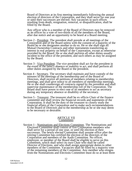Board of Directors at its first meeting immediately following the annual election of directors of the Corporation, and they shall serve for one year or until their successors are elected. Any vacancies in such offices resulting from death, resignation, removal, or disqualification, shall be filled by the Board.

Any officer who is a member of the Board of Directors may be removed as an officer by a vote of two-thirds of all the members of the Board, after due notice and an opportunity to be heard at a Board meeting.

- Section 2 President. The president shall preside at all meetings of the Corporation and of the Board unless with the consent of a majority of the Board he or she designates another to do so. He or she shall sign all Mutual Ownership Contracts and other instruments transferring an interest in real property on behalf of the Corporation, except as otherwise provided by the Board. He or she shall perform all other duties usually incident to the office of the president, and such others as may be assigned by the Board.
- Section 3 <u>Vice President</u>. The vice president shall act for the president in the event of the latter's absence or inability to act, and shall perform all other duties assigned by the Board or the president.
- Section 4 Secretary. The secretary shall maintain and have custody of the minutes of the meetings of the membership and of the Board of Directors, shall receive all petitions of members relating to membership meetings, and shall give notice to all members of membership meetings. He or she shall countersign all contracts signed by the president and shall supervise maintenance of the membership roll of the Corporation. The Board shall have power to elect one of its members to act as secretary during any temporary absence or disability of the secretary.
- Section 5 Treasurer. The treasurer shall be ex officio Chair of the finance committee and shall review the financial records and statements of the Corporation. It shall be the duty of the treasurer to closely study the financial affairs of the Corporation and to make such recommendations to the Board of Directors and to the membership as he or she may deem to be necessary or desirable.

### ARTICLE VII **Committees**

Section 1 - Nominations and Elections Committee. The Nominations and Elections Committee shall consist of five Corporation members who shall serve for a period of one year, or until the election of their successors. The newly elected Committee shall assume office after the retiring Committee has certified the election of the directors of the Corporation and members of the Audit Committee. No officer, employee, or member of the Board shall be eligible to serve on this Committee, which shall select its own Chair who shall be called Director of Elections, and who shall assign appropriate duties to other members of the Committee. Vacancies shall be filled by a majority vote of the remaining members of the Committee. Any member who resigns from the Nominations and Elections Committee must do so at least three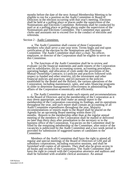months before the date of the next Annual Membership Meeting to be eligible to run for a position on the Audit Committee or Board of Directors in the election occurring with that year's meeting. Elections shall be held at a polling place or places under the supervision of the Nominations and Elections Committee. Referenda shall be conducted by mail or at a polling place or polling places under the supervision of the Nominations and Elections Committee. The Committee may appoint clerks and assistants not to exceed five in the conduct of elections and referenda.

#### Section 2 - Audit Committee.

a. The Audit Committee shall consist of three Corporation members who shall serve a one-year term. Terms begin and end upon certification of the election by the Nominations and Elections Committee. The Audit Committee shall elect a chair. No officer, employee, or director of the Corporation shall be eligible to serve on this Committee.

b. The functions of the Audit Committee shall be to review and evaluate: (a) the financial statements and audit reports of the Corporation and its subsidiaries; (b) its accounting system, accounting procedures, operating budget, and allocation of costs under the provisions of the Mutual Ownership Contracts; (c) policies and practices followed with respect to funded and other reserves; (d) the investment and other financial policies and practices; and (e) pursuant to the policies established by the Board and the Bylaws, the various operations of the Corporation, including maintenance, sales, and sales financing programs in order to determine management's effectiveness in administering the affairs of the Corporation economically and efficiently.

c. The Audit Committee may make such reports and recommendations to the Board of Directors and to the membership of the Corporation as it may deem appropriate, and shall make an annual report to the membership of the Corporation concerning its findings, and its operations throughout the year, and such report shall contain an accounting of all Audit Committee expenditures throughout the year. Majority recommendations or reports made to the Board shall be placed on the Agenda for an upcoming Board meeting within three (3) months. Reports to the membership other than at the regular annual meeting of the members of the Corporation shall be mailed or delivered no later than thirty days after presentation to the secretary or to the business office of the Corporation. Vacancies on the Committee shall be filled by the remaining membership of the Committee, after notice of the vacancies is publicized by the Audit Committee and a two week period is provided for submission of suggested names of candidates to the Committee.

Members of the Audit Committee shall have the right to attend all regular and special meetings of the Board of Directors of GHI and all subsidiary corporations, including executive sessions, and shall be furnished with copies of all minutes. They shall also be given access to all books and records of the Corporation. The Audit Committee shall have the right to consult with the Corporation attorneys and auditors and shall be furnished with available clerical assistance. An annual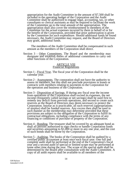appropriation for the Audit Committee in the amount of \$7,500 shall be included in the operating budget of the Corporation and the Audit Committee shall be authorized to engage legal, accounting, tax, or other consultants or clerical assistants as may be required to facilitate the work of the Committee up to the total amount of the appropriation. The appropriation shall also cover the reimbursement to members of the Committee for the actual expenses incurred by them in behalf of or for the benefit of the Corporation, provided that prior authorization is given by the Committee for such expenditure. Should additional funds be found necessary, the Audit Committee may request, and the Board of Directors may grant, additional funds.

The members of the Audit Committee shall be compensated in such amount as the members of the Corporation shall direct.

Section 3 - Other Committees. The Board and the membership may designate and establish duties of additional committees to carry out other functions of the Corporation.

# ARTICLE VIII Financial Regulations

- Section 1 Fiscal Year. The fiscal year of the Corporation shall be the calendar year.
- Section 2 Assessments. The corporation shall not have the authority to assess its members, but this shall not preclude provisions in leases or contracts with members relating to payments to the Corporation for the operation and business of the Corporation.
- Section 3 Disposition of Savings. If during any fiscal year the income from operations of the Corporation shall exceed its expenses, the net income (frequently called savings or net savings) shall be used first to remedy any deficit from previous operations, and second to create such reserves as the Board of Directors may deem necessary to protect the Corporation. Insofar as is practicable, all such reserves (appropriations of surplus) shall be funded reserves. Any excess then shall be used in such manner as the membership may determine provided that these provisions are subject to the obligation of the Corporation to fulfill its contractual obligations, including compliance with the terms of any financing or conditions of purchase of property of the Corporation.
- Section 4 Bonding. The treasurer shall be covered by an adequate bond as shall all persons authorized to sign checks or handle Corporation funds and securities amounting to \$1,000 or more in any one year, and the cost of such bonds shall be borne by the Corporation.
- Section 5 Auditing. The books of the Corporation shall be audited by a certified public accountant at least once each fiscal year. One full and complete audit shall be performed at the end of the Corporation's fiscal year and a second audit of special or limited scope may be performed at some other time during the year. The scope of the special audit shall be determined by the Board after consultation with the Audit Committee. A copy of all audit reports shall be available to all members of the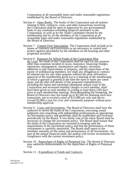Corporation at all reasonable times and under reasonable regulations established by the Board of Directors.

- Section 6 Open Books. The books of the Corporation and all matters relating to fees, contracts, costs, and other transactions involving the Corporation shall be open to inspection by any governmental body or any institution extending financial assistance to the Corporation, as well as by the Audit Committee elected by the membership and by all the members of the Corporation at all reasonable times and under reasonable regulations established by the Board of Directors.
- Section 7 Control Over Speculation. The Corporation shall include in its leases or contracts such provisions as are necessary to control and protect against speculation by the members on the housing and other properties involved.
- Section 8 Purposes for Which Funds of the Corporation May Be Used. No funds of the Corporation shall be used for any purpose other than expenses incident to taxes, insurance, financing charges, operations, management, maintenance and repairs, necessary additions to and replacements of property, and the repurchase of the equity of withdrawing members; nor shall any obligation or contract be entered into for any other purpose without the prior affirmative approval of the membership given (a) at a meeting of the membership at which a quorum is present at the time the item or items are voted upon, and (b) after full details of the proposed expenditure(s), including the initial and estimated subsequent annual costs to the Corporation and increased monthly charges to each member, shall have been given to each member in writing at least thirty (30) days prior to such membership meeting. Notwithstanding the foregoing, the Board of Directors may use funds up to \$2,500 for planning each new transaction, not-to-exceed a total of \$15,000 per year and not-toexceed \$2,000 a year for civic and community purposes without prior membership approval.
- Section 9 Loans and Investments. The Board of Directors shall have the authority to invest the funds of the Corporation, exercising sound judgment and consulting with independent professionals as appropriate. An investment policy and guidelines shall be established and reviewed periodically by the Board. A two thirds vote of the entire Board shall be necessary to change the investment policy. The Board shall ensure that the funds of the Corporation are invested in keeping with the requirements of the investment policy and that the performance of these investments is carefully monitored. The Board shall report to the members annually on the status and performance of all investments. As part of the annual financial audit, the auditor will review investments for compliance with the current investment policy.
- Section 10 Repurchase of Rights of Perpetual Use. The Board of Directors may authorize disbursements for the repurchase of Rights of Perpetual Use.

Section 11 - Expenditure of Funds and Contracts.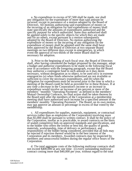a. No expenditure in excess of \$7,500 shall be made, nor shall any obligation for the expenditure of more than said amount be incurred, except in pursuance of a motion adopted by the Board of Directors. All motions authorizing said expenditures of money or the incurring of an obligation for said expenditures of money shall state specifically the amounts of expenditures authorized and the specific purpose for which authorized. Sums thus authorized shall be applied solely to the specific objects for which they are made and for no others, except pursuant to a motion subsequently adopted by the Board of Directors. No motion authorizing the expenditure of money or the incurring of any obligation for the expenditure of money shall be adopted until the same shall have been approved by the Board of Directors at two separate Board meetings on two different days except in emergencies, in which event the approval of two-thirds of the entire Board shall be necessary for adoption.

b. Prior to the beginning of each fiscal year, the Board of Directors shall, after having considered the budget proposed by the manager, adopt a budget and authorize expenditures to be made in the following fiscal year in accordance with the foregoing paragraph, except that the Board may authorize a contingent fund in such amount as it may deem necessary, without designation as to object, to be used on1y in extreme emergencies (a) when funds otherwise authorized are not available or sufficient to cover the necessary expenditures, and (b) when the obligation for expenditures must be incurred prior to the time in which a meeting of the Board could be held as provided for in these Bylaws. If at any time a decrease in the Corporation's income or an increase in expenditure would involve an increase of ten percent or more of the members' "monthly "Operating Payments" as defined in the members' Mutual Ownership Contracts, no final action shall be taken thereon by the Board until after the members of the Corporation at a membership meeting shall have authorized such increase for a specified amount in the members' monthly "Operating Payments". The Board, on its own motion, may not approve an amount or percentage in excess of that voted by the membership.

c. All expenditures for supplies, materials, equipment, or contractual services (other than as employees of the Corporation) involving more than \$5,000 shall be pursuant to written contract. It shall be the policy of the Corporation, insofar as is practicable, to award contracts on the basis of sealed competitive bids on approved standards and specifications, and to the bidder who offers the lowest or best bid, the quality of goods, materials, workmanship, time of delivery or performance, and responsibility of the bidder being considered, provided that all bids may be rejected if rejection thereof would be in the best interest of the Corporation and its members. Awarded contracts may be inspected by members and unsuccessful bidders during the regular office hours of the Corporation.

 d. The total aggregate costs of the following multiyear contracts shall not exceed \$400,000 at any one time: (i) every outstanding multiyear contract costing more than \$40,000 per year, without regard to the total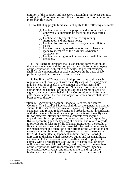duration of the contract, and (ii) every outstanding multiyear contract costing \$40,000 or less per year, if such contract runs for a period of more than five years.

The \$400,000 aggregate limit shall not apply to the following contracts:

- (1) Contracts for which the purpose and amount shall be approved at a membership meeting by a two-thirds vote;
- (2) Contracts with respect to borrowing money, mortgages, and mortgage notes;
- (3) Contract for insurance with a one-year cancellation clause;
- (4) Contracts relating to assignments now or hereafter made by members of their Mutual Ownership Contracts; or
- (5) Contracts relating to matters connected with loans to members.

e. The Board of Directors shall establish the compensation of the general manager and the compensation scale for all employees of the Corporation. Subject to such scale, the general manager shall fix the compensation of each employee on the basis of job proficiency and performance measurements.

f. The Board of Directors shall adopt from time to time such regulations, not inconsistent with these Bylaws, as in its judgment may be needful or useful in the conduct of the business and financial affairs of the Corporation. No check or other instrument authorizing the payment of the funds of the Corporation shall be signed by any person on behalf of the Corporation until after the date, payee, amount thereof, and object for which drawn shall have been entered thereon.

Section 12 - Accounting System, Financial Records, and Internal Controls. The Board of Directors shall direct the general manager to submit to the Board for approval or it may prescribe the principles, standards, and related requirements and procedures, not inconsistent with the members' Mutual Ownership Contracts and these Bylaws (a) for effective internal and external controls over income, expenditures, funds, property, and other assets of the Corporation, (b) for accounting and the keeping of financial and related records to provide full disclosure of the financial transaction, the results of financial transactions, and other financial information necessary in the management and operation of the affairs of the Corporation and necessary or helpful to enable the general manager, the treasurer, the Audit Committee, independent auditors, and the Board of Directors to discharge their respective duties and responsibilities, and to enable the Corporation and its officers and employees to comply with all requirements of law and of contractual or other obligations to financial institutions, creditors, and to the members of the Corporation, with respect to accounts, records, financial statements, reports, taxes, and related matters, and (c) for the budget and statement of estimated income and expenditures for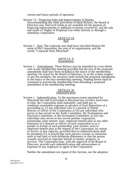current and future periods of operation.

Section 13 - Financing Sales and Improvements of Homes. Notwithstanding any other provisions of these Bylaws, the Board of Directors may lend such funds as are available for the purpose of financing improvements or additions to homes covered by, and the sale and resale of, Rights of Perpetual Use either directly or through a subsidiary corporation.

# ARTICLE IX Seal

Section 1 - Seal. The corporate seal shall have inscribed thereon the name of the Corporation, the year of its organization, and the words "Corporate Seal, Maryland".

# ARTICLE X Amendments

Section 1 - Amendments. These Bylaws may be amended by a two-thirds vote at any membership meeting provided that the text of the proposed amendment shall have been included in the notice of the membership meeting. On action by the Board of Directors, or on the written request of any ten members, the secretary shall include the proposed amendment in the notice of the next membership meeting. Nothing herein shall be construed to prevent the membership from amending a proposed amendment at the membership meeting.

# ARTICLE XI Indemnification

Section 1 - Indemnification. To the maximum extent permitted by Maryland law and as provided in Maryland law in effect from time to time, the Corporation shall indemnify, and shall pay or reimburse reasonable expenses in advance of final disposition of a proceeding to, (i) any individual who is a present or former director or officer of the Corporation or (ii) any individual who serves or has served on the Audit Committee, the Nominations and Elections Committee, or the investment Committee, or (iii) any individual who serves or has served another corporation, partnership, joint venture, trust, employee benefit plan or any other enterprise as a director or officer of such corporation or as a partner or trustee of such partnership, joint venture, trust or employee benefit plan at the request of the Corporation, by reason of service in that capacity; provided that no indemnification shall be permitted if it is proved that such person's actions or omissions were in bad faith or with deliberate dishonesty or that the person actually received an improper benefit in money, property, or services. The Corporation may, with the approval of the Board of Directors, provide such indemnification and advancement of expenses to any employee or agent of the Corporation.

Neither the amendment nor repeal of this Section, nor the adoption